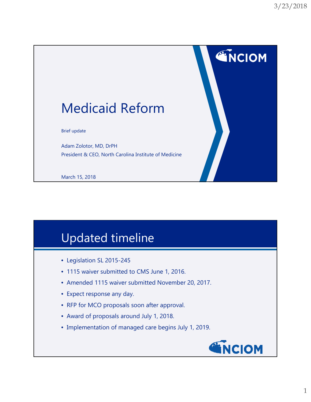**ENCIOM** 

# Medicaid Reform

Brief update

Adam Zolotor, MD, DrPH President & CEO, North Carolina Institute of Medicine

March 15, 2018

### Updated timeline

- Legislation SL 2015-245
- 1115 waiver submitted to CMS June 1, 2016.
- Amended 1115 waiver submitted November 20, 2017.
- Expect response any day.
- RFP for MCO proposals soon after approval.
- Award of proposals around July 1, 2018.
- Implementation of managed care begins July 1, 2019.

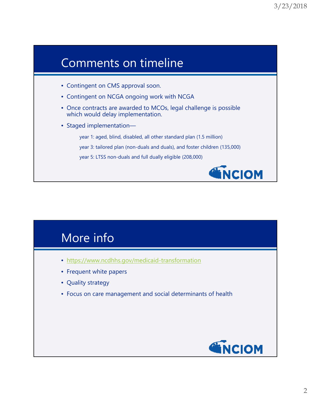#### Comments on timeline

- Contingent on CMS approval soon.
- Contingent on NCGA ongoing work with NCGA
- Once contracts are awarded to MCOs, legal challenge is possible which would delay implementation.
- Staged implementation—

year 1: aged, blind, disabled, all other standard plan (1.5 million)

year 3: tailored plan (non-duals and duals), and foster children (135,000)

year 5: LTSS non-duals and full dually eligible (208,000)



#### More info

- https://www.ncdhhs.gov/medicaid-transformation
- Frequent white papers
- Quality strategy
- Focus on care management and social determinants of health